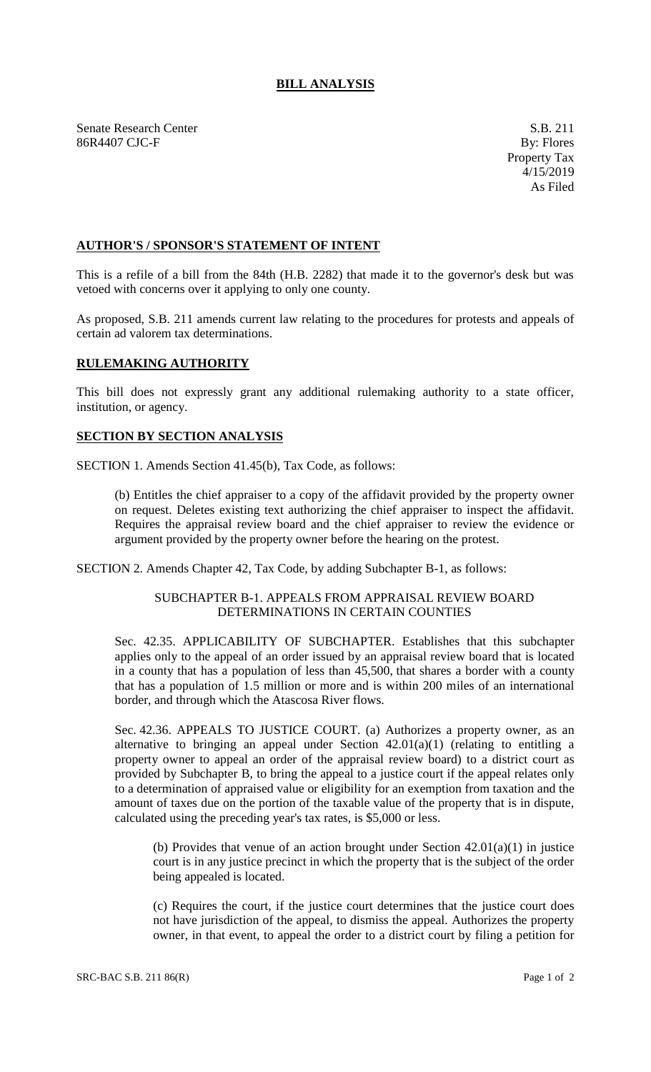# **BILL ANALYSIS**

Senate Research Center S.B. 211 86R4407 CJC-F By: Flores

## **AUTHOR'S / SPONSOR'S STATEMENT OF INTENT**

This is a refile of a bill from the 84th (H.B. 2282) that made it to the governor's desk but was vetoed with concerns over it applying to only one county.

As proposed, S.B. 211 amends current law relating to the procedures for protests and appeals of certain ad valorem tax determinations.

### **RULEMAKING AUTHORITY**

This bill does not expressly grant any additional rulemaking authority to a state officer, institution, or agency.

### **SECTION BY SECTION ANALYSIS**

SECTION 1. Amends Section 41.45(b), Tax Code, as follows:

(b) Entitles the chief appraiser to a copy of the affidavit provided by the property owner on request. Deletes existing text authorizing the chief appraiser to inspect the affidavit. Requires the appraisal review board and the chief appraiser to review the evidence or argument provided by the property owner before the hearing on the protest.

SECTION 2. Amends Chapter 42, Tax Code, by adding Subchapter B-1, as follows:

### SUBCHAPTER B-1. APPEALS FROM APPRAISAL REVIEW BOARD DETERMINATIONS IN CERTAIN COUNTIES

Sec. 42.35. APPLICABILITY OF SUBCHAPTER. Establishes that this subchapter applies only to the appeal of an order issued by an appraisal review board that is located in a county that has a population of less than 45,500, that shares a border with a county that has a population of 1.5 million or more and is within 200 miles of an international border, and through which the Atascosa River flows.

Sec. 42.36. APPEALS TO JUSTICE COURT. (a) Authorizes a property owner, as an alternative to bringing an appeal under Section  $42.01(a)(1)$  (relating to entitling a property owner to appeal an order of the appraisal review board) to a district court as provided by Subchapter B, to bring the appeal to a justice court if the appeal relates only to a determination of appraised value or eligibility for an exemption from taxation and the amount of taxes due on the portion of the taxable value of the property that is in dispute, calculated using the preceding year's tax rates, is \$5,000 or less.

(b) Provides that venue of an action brought under Section 42.01(a)(1) in justice court is in any justice precinct in which the property that is the subject of the order being appealed is located.

(c) Requires the court, if the justice court determines that the justice court does not have jurisdiction of the appeal, to dismiss the appeal. Authorizes the property owner, in that event, to appeal the order to a district court by filing a petition for